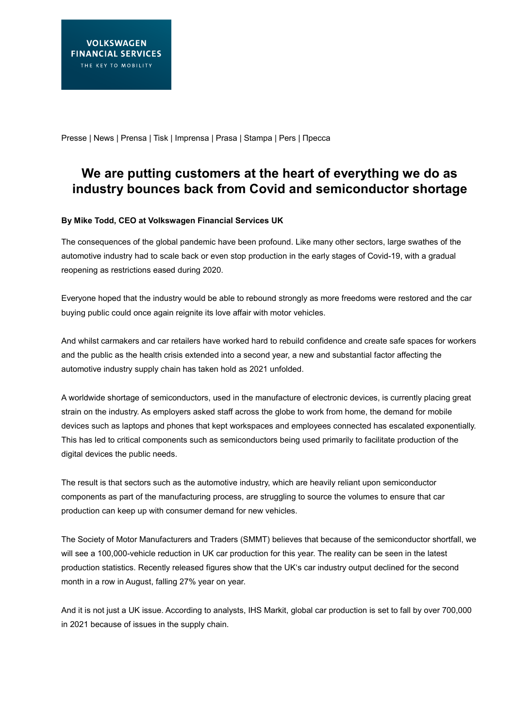Presse | News | Prensa | Tisk | Imprensa | Prasa | Stampa | Pers | Пресса

# **We are putting customers at the heart of everything we do as industry bounces back from Covid and semiconductor shortage**

## **By Mike Todd, CEO at Volkswagen Financial Services UK**

The consequences of the global pandemic have been profound. Like many other sectors, large swathes of the automotive industry had to scale back or even stop production in the early stages of Covid-19, with a gradual reopening as restrictions eased during 2020.

Everyone hoped that the industry would be able to rebound strongly as more freedoms were restored and the car buying public could once again reignite its love affair with motor vehicles.

And whilst carmakers and car retailers have worked hard to rebuild confidence and create safe spaces for workers and the public as the health crisis extended into a second year, a new and substantial factor affecting the automotive industry supply chain has taken hold as 2021 unfolded.

A worldwide shortage of semiconductors, used in the manufacture of electronic devices, is currently placing great strain on the industry. As employers asked staff across the globe to work from home, the demand for mobile devices such as laptops and phones that kept workspaces and employees connected has escalated exponentially. This has led to critical components such as semiconductors being used primarily to facilitate production of the digital devices the public needs.

The result is that sectors such as the automotive industry, which are heavily reliant upon semiconductor components as part of the manufacturing process, are struggling to source the volumes to ensure that car production can keep up with consumer demand for new vehicles.

The Society of Motor Manufacturers and Traders (SMMT) believes that because of the semiconductor shortfall, we will see a 100,000-vehicle reduction in UK car production for this year. The reality can be seen in the latest production statistics. Recently released figures show that the UK's car industry output declined for the second month in a row in August, falling 27% year on year.

And it is not just a UK issue. According to analysts, IHS Markit, global car production is set to fall by over 700,000 in 2021 because of issues in the supply chain.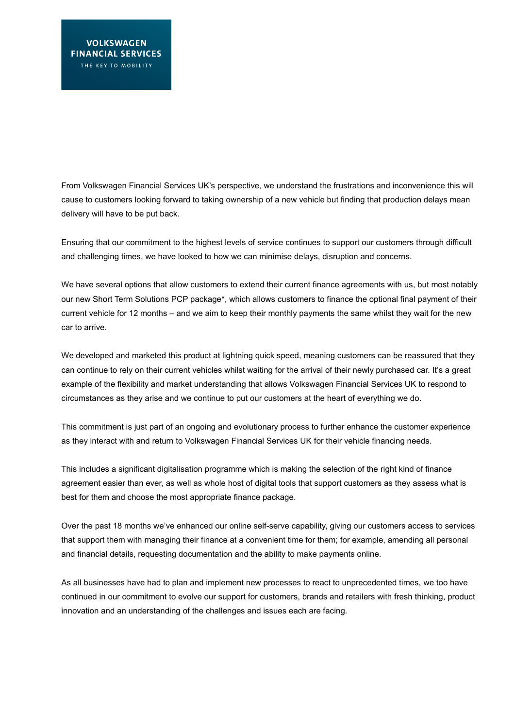From Volkswagen Financial Services UK's perspective, we understand the frustrations and inconvenience this will cause to customers looking forward to taking ownership of a new vehicle but finding that production delays mean delivery will have to be put back.

Ensuring that our commitment to the highest levels of service continues to support our customers through difficult and challenging times, we have looked to how we can minimise delays, disruption and concerns.

We have several options that allow customers to extend their current finance agreements with us, but most notably our new Short Term Solutions PCP package\*, which allows customers to finance the optional final payment of their current vehicle for 12 months – and we aim to keep their monthly payments the same whilst they wait for the new car to arrive.

We developed and marketed this product at lightning quick speed, meaning customers can be reassured that they can continue to rely on their current vehicles whilst waiting for the arrival of their newly purchased car. It's a great example of the flexibility and market understanding that allows Volkswagen Financial Services UK to respond to circumstances as they arise and we continue to put our customers at the heart of everything we do.

This commitment is just part of an ongoing and evolutionary process to further enhance the customer experience as they interact with and return to Volkswagen Financial Services UK for their vehicle financing needs.

This includes a significant digitalisation programme which is making the selection of the right kind of finance agreement easier than ever, as well as whole host of digital tools that support customers as they assess what is best for them and choose the most appropriate finance package.

Over the past 18 months we've enhanced our online self-serve capability, giving our customers access to services that support them with managing their finance at a convenient time for them; for example, amending all personal and financial details, requesting documentation and the ability to make payments online.

As all businesses have had to plan and implement new processes to react to unprecedented times, we too have continued in our commitment to evolve our support for customers, brands and retailers with fresh thinking, product innovation and an understanding of the challenges and issues each are facing.